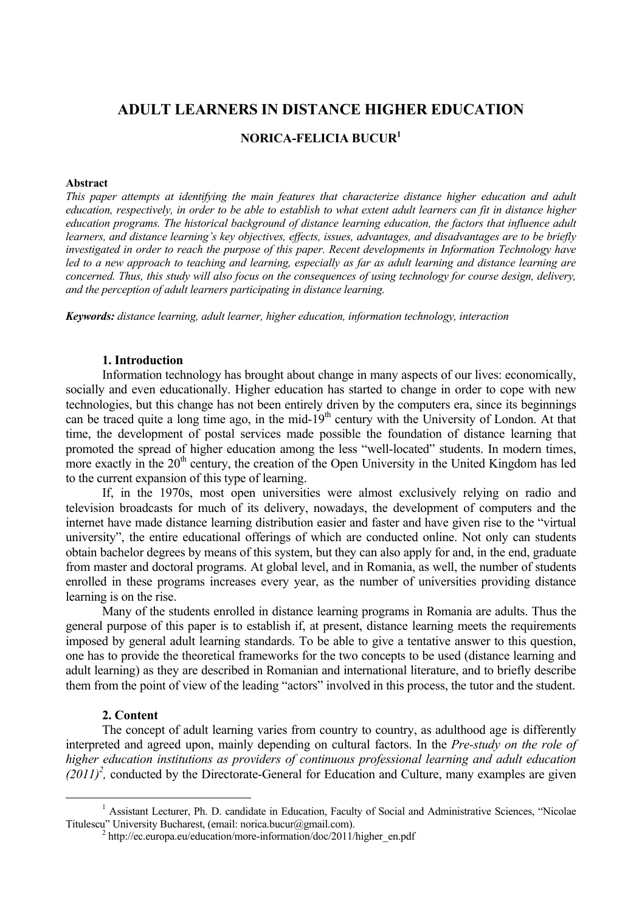# **ADULT LEARNERS IN DISTANCE HIGHER EDUCATION**

#### **NORICA-FELICIA BUCUR1**

#### **Abstract**

*This paper attempts at identifying the main features that characterize distance higher education and adult education, respectively, in order to be able to establish to what extent adult learners can fit in distance higher education programs. The historical background of distance learning education, the factors that influence adult learners, and distance learning's key objectives, effects, issues, advantages, and disadvantages are to be briefly investigated in order to reach the purpose of this paper. Recent developments in Information Technology have*  led to a new approach to teaching and learning, especially as far as adult learning and distance learning are *concerned. Thus, this study will also focus on the consequences of using technology for course design, delivery, and the perception of adult learners participating in distance learning.* 

*Keywords: distance learning, adult learner, higher education, information technology, interaction* 

#### **1. Introduction**

Information technology has brought about change in many aspects of our lives: economically, socially and even educationally. Higher education has started to change in order to cope with new technologies, but this change has not been entirely driven by the computers era, since its beginnings can be traced quite a long time ago, in the mid-19<sup>th</sup> century with the University of London. At that time, the development of postal services made possible the foundation of distance learning that promoted the spread of higher education among the less "well-located" students. In modern times, more exactly in the  $20<sup>th</sup>$  century, the creation of the Open University in the United Kingdom has led to the current expansion of this type of learning.

If, in the 1970s, most open universities were almost exclusively relying on radio and television broadcasts for much of its delivery, nowadays, the development of computers and the internet have made distance learning distribution easier and faster and have given rise to the "virtual university", the entire educational offerings of which are conducted online. Not only can students obtain bachelor degrees by means of this system, but they can also apply for and, in the end, graduate from master and doctoral programs. At global level, and in Romania, as well, the number of students enrolled in these programs increases every year, as the number of universities providing distance learning is on the rise.

Many of the students enrolled in distance learning programs in Romania are adults. Thus the general purpose of this paper is to establish if, at present, distance learning meets the requirements imposed by general adult learning standards. To be able to give a tentative answer to this question, one has to provide the theoretical frameworks for the two concepts to be used (distance learning and adult learning) as they are described in Romanian and international literature, and to briefly describe them from the point of view of the leading "actors" involved in this process, the tutor and the student.

#### **2. Content**

The concept of adult learning varies from country to country, as adulthood age is differently interpreted and agreed upon, mainly depending on cultural factors. In the *Pre-study on the role of higher education institutions as providers of continuous professional learning and adult education*   $(2011)^2$ , conducted by the Directorate-General for Education and Culture, many examples are given

 $\frac{1}{1}$ <sup>1</sup> Assistant Lecturer, Ph. D. candidate in Education, Faculty of Social and Administrative Sciences, "Nicolae Titulescu" University Bucharest, (email: norica.bucur@gmail.com).

 $h$ tttp://ec.europa.eu/education/more-information/doc/2011/higher\_en.pdf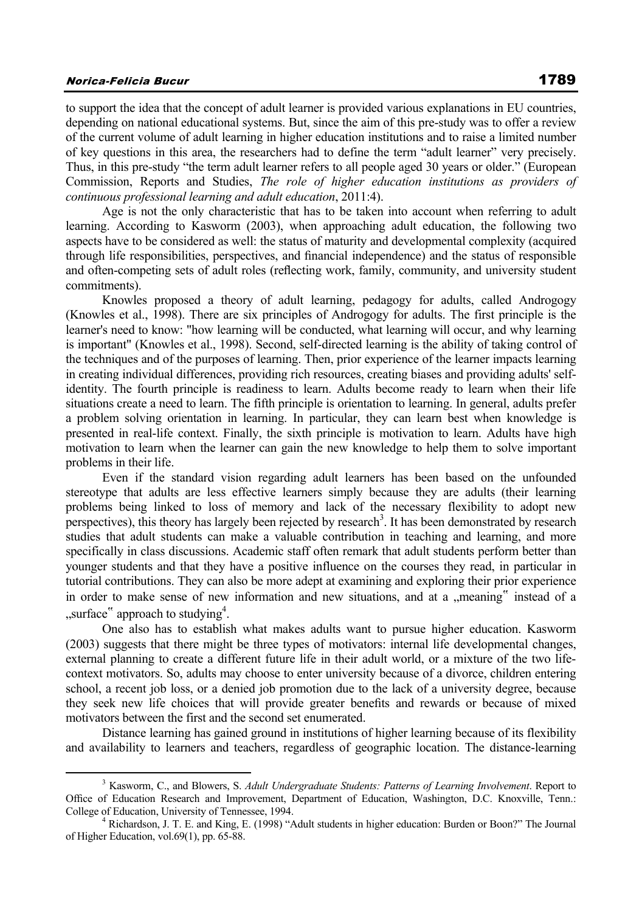## Norica-Felicia Bucur 1789

to support the idea that the concept of adult learner is provided various explanations in EU countries, depending on national educational systems. But, since the aim of this pre-study was to offer a review of the current volume of adult learning in higher education institutions and to raise a limited number of key questions in this area, the researchers had to define the term "adult learner" very precisely. Thus, in this pre-study "the term adult learner refers to all people aged 30 years or older." (European Commission, Reports and Studies, *The role of higher education institutions as providers of continuous professional learning and adult education*, 2011:4).

Age is not the only characteristic that has to be taken into account when referring to adult learning. According to Kasworm (2003), when approaching adult education, the following two aspects have to be considered as well: the status of maturity and developmental complexity (acquired through life responsibilities, perspectives, and financial independence) and the status of responsible and often-competing sets of adult roles (reflecting work, family, community, and university student commitments).

Knowles proposed a theory of adult learning, pedagogy for adults, called Androgogy (Knowles et al., 1998). There are six principles of Androgogy for adults. The first principle is the learner's need to know: "how learning will be conducted, what learning will occur, and why learning is important" (Knowles et al., 1998). Second, self-directed learning is the ability of taking control of the techniques and of the purposes of learning. Then, prior experience of the learner impacts learning in creating individual differences, providing rich resources, creating biases and providing adults' selfidentity. The fourth principle is readiness to learn. Adults become ready to learn when their life situations create a need to learn. The fifth principle is orientation to learning. In general, adults prefer a problem solving orientation in learning. In particular, they can learn best when knowledge is presented in real-life context. Finally, the sixth principle is motivation to learn. Adults have high motivation to learn when the learner can gain the new knowledge to help them to solve important problems in their life.

Even if the standard vision regarding adult learners has been based on the unfounded stereotype that adults are less effective learners simply because they are adults (their learning problems being linked to loss of memory and lack of the necessary flexibility to adopt new perspectives), this theory has largely been rejected by research<sup>3</sup>. It has been demonstrated by research studies that adult students can make a valuable contribution in teaching and learning, and more specifically in class discussions. Academic staff often remark that adult students perform better than younger students and that they have a positive influence on the courses they read, in particular in tutorial contributions. They can also be more adept at examining and exploring their prior experience in order to make sense of new information and new situations, and at a "meaning" instead of a "surface" approach to studying<sup>4</sup>.

One also has to establish what makes adults want to pursue higher education. Kasworm (2003) suggests that there might be three types of motivators: internal life developmental changes, external planning to create a different future life in their adult world, or a mixture of the two lifecontext motivators. So, adults may choose to enter university because of a divorce, children entering school, a recent job loss, or a denied job promotion due to the lack of a university degree, because they seek new life choices that will provide greater benefits and rewards or because of mixed motivators between the first and the second set enumerated.

Distance learning has gained ground in institutions of higher learning because of its flexibility and availability to learners and teachers, regardless of geographic location. The distance-learning

 $\frac{1}{3}$ <sup>3</sup> Kasworm, C., and Blowers, S. *Adult Undergraduate Students: Patterns of Learning Involvement*. Report to Office of Education Research and Improvement, Department of Education, Washington, D.C. Knoxville, Tenn.: College of Education, University of Tennessee, 1994.

<sup>&</sup>lt;sup>4</sup> Richardson, J. T. E. and King, E. (1998) "Adult students in higher education: Burden or Boon?" The Journal of Higher Education, vol.69(1), pp. 65-88.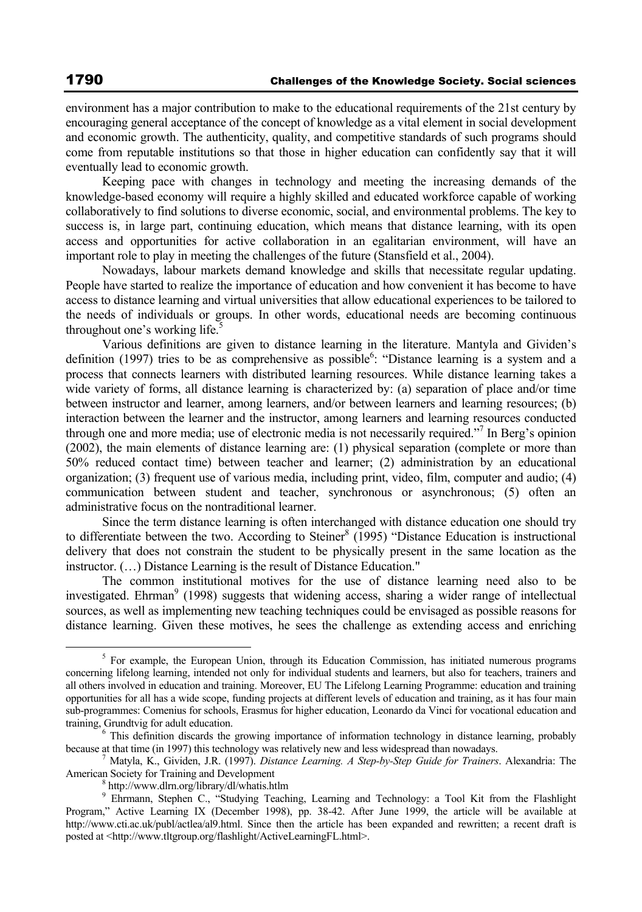environment has a major contribution to make to the educational requirements of the 21st century by encouraging general acceptance of the concept of knowledge as a vital element in social development and economic growth. The authenticity, quality, and competitive standards of such programs should come from reputable institutions so that those in higher education can confidently say that it will eventually lead to economic growth.

Keeping pace with changes in technology and meeting the increasing demands of the knowledge-based economy will require a highly skilled and educated workforce capable of working collaboratively to find solutions to diverse economic, social, and environmental problems. The key to success is, in large part, continuing education, which means that distance learning, with its open access and opportunities for active collaboration in an egalitarian environment, will have an important role to play in meeting the challenges of the future (Stansfield et al., 2004).

Nowadays, labour markets demand knowledge and skills that necessitate regular updating. People have started to realize the importance of education and how convenient it has become to have access to distance learning and virtual universities that allow educational experiences to be tailored to the needs of individuals or groups. In other words, educational needs are becoming continuous throughout one's working life.<sup>5</sup>

Various definitions are given to distance learning in the literature. Mantyla and Gividen's definition (1997) tries to be as comprehensive as possible<sup>6</sup>: "Distance learning is a system and a process that connects learners with distributed learning resources. While distance learning takes a wide variety of forms, all distance learning is characterized by: (a) separation of place and/or time between instructor and learner, among learners, and/or between learners and learning resources; (b) interaction between the learner and the instructor, among learners and learning resources conducted through one and more media; use of electronic media is not necessarily required."<sup>7</sup> In Berg's opinion (2002), the main elements of distance learning are: (1) physical separation (complete or more than 50% reduced contact time) between teacher and learner; (2) administration by an educational organization; (3) frequent use of various media, including print, video, film, computer and audio; (4) communication between student and teacher, synchronous or asynchronous; (5) often an administrative focus on the nontraditional learner.

Since the term distance learning is often interchanged with distance education one should try to differentiate between the two. According to Steiner<sup>8</sup> (1995) "Distance Education is instructional delivery that does not constrain the student to be physically present in the same location as the instructor. (…) Distance Learning is the result of Distance Education."

The common institutional motives for the use of distance learning need also to be investigated. Ehrman<sup>9</sup> (1998) suggests that widening access, sharing a wider range of intellectual sources, as well as implementing new teaching techniques could be envisaged as possible reasons for distance learning. Given these motives, he sees the challenge as extending access and enriching

 $\frac{1}{5}$ <sup>5</sup> For example, the European Union, through its Education Commission, has initiated numerous programs concerning lifelong learning, intended not only for individual students and learners, but also for teachers, trainers and all others involved in education and training. Moreover, EU The Lifelong Learning Programme: education and training opportunities for all has a wide scope, funding projects at different levels of education and training, as it has four main sub-programmes: Comenius for schools, Erasmus for higher education, Leonardo da Vinci for vocational education and training, Grundtvig for adult education. 6

<sup>&</sup>lt;sup>6</sup> This definition discards the growing importance of information technology in distance learning, probably because at that time (in 1997) this technology was relatively new and less widespread than nowadays.

Matyla, K., Gividen, J.R. (1997). *Distance Learning. A Step-by-Step Guide for Trainers*. Alexandria: The American Society for Training and Development

http://www.dlrn.org/library/dl/whatis.htlm

<sup>9</sup> Ehrmann, Stephen C., "Studying Teaching, Learning and Technology: a Tool Kit from the Flashlight Program," Active Learning IX (December 1998), pp. 38-42. After June 1999, the article will be available at http://www.cti.ac.uk/publ/actlea/al9.html. Since then the article has been expanded and rewritten; a recent draft is posted at <http://www.tltgroup.org/flashlight/ActiveLearningFL.html>.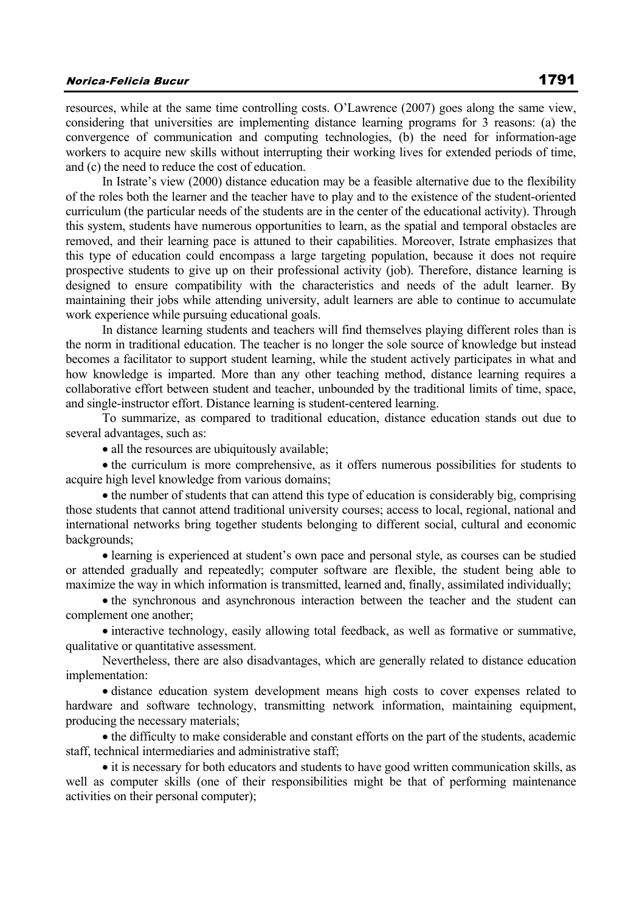## Norica-Felicia Bucur 1791

resources, while at the same time controlling costs. O'Lawrence (2007) goes along the same view, considering that universities are implementing distance learning programs for 3 reasons: (a) the convergence of communication and computing technologies, (b) the need for information-age workers to acquire new skills without interrupting their working lives for extended periods of time, and (c) the need to reduce the cost of education.

In Istrate's view (2000) distance education may be a feasible alternative due to the flexibility of the roles both the learner and the teacher have to play and to the existence of the student-oriented curriculum (the particular needs of the students are in the center of the educational activity). Through this system, students have numerous opportunities to learn, as the spatial and temporal obstacles are removed, and their learning pace is attuned to their capabilities. Moreover, Istrate emphasizes that this type of education could encompass a large targeting population, because it does not require prospective students to give up on their professional activity (job). Therefore, distance learning is designed to ensure compatibility with the characteristics and needs of the adult learner. By maintaining their jobs while attending university, adult learners are able to continue to accumulate work experience while pursuing educational goals.

In distance learning students and teachers will find themselves playing different roles than is the norm in traditional education. The teacher is no longer the sole source of knowledge but instead becomes a facilitator to support student learning, while the student actively participates in what and how knowledge is imparted. More than any other teaching method, distance learning requires a collaborative effort between student and teacher, unbounded by the traditional limits of time, space, and single-instructor effort. Distance learning is student-centered learning.

To summarize, as compared to traditional education, distance education stands out due to several advantages, such as:

• all the resources are ubiquitously available;

• the curriculum is more comprehensive, as it offers numerous possibilities for students to acquire high level knowledge from various domains;

• the number of students that can attend this type of education is considerably big, comprising those students that cannot attend traditional university courses; access to local, regional, national and international networks bring together students belonging to different social, cultural and economic backgrounds;

• learning is experienced at student's own pace and personal style, as courses can be studied or attended gradually and repeatedly; computer software are flexible, the student being able to maximize the way in which information is transmitted, learned and, finally, assimilated individually;

• the synchronous and asynchronous interaction between the teacher and the student can complement one another;

• interactive technology, easily allowing total feedback, as well as formative or summative, qualitative or quantitative assessment.

Nevertheless, there are also disadvantages, which are generally related to distance education implementation:

• distance education system development means high costs to cover expenses related to hardware and software technology, transmitting network information, maintaining equipment, producing the necessary materials;

• the difficulty to make considerable and constant efforts on the part of the students, academic staff, technical intermediaries and administrative staff;

• it is necessary for both educators and students to have good written communication skills, as well as computer skills (one of their responsibilities might be that of performing maintenance activities on their personal computer);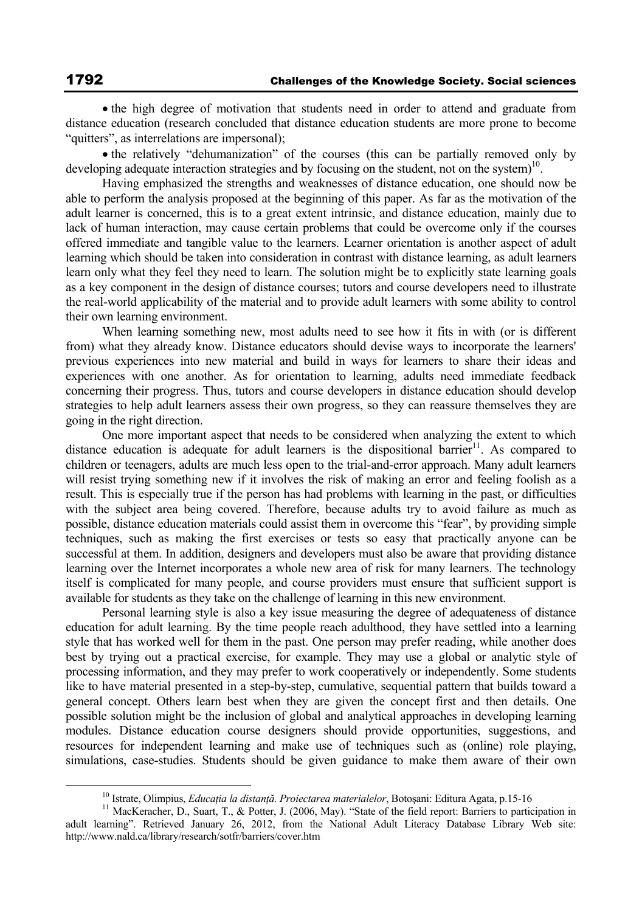• the high degree of motivation that students need in order to attend and graduate from distance education (research concluded that distance education students are more prone to become "quitters", as interrelations are impersonal);

• the relatively "dehumanization" of the courses (this can be partially removed only by developing adequate interaction strategies and by focusing on the student, not on the system)<sup>10</sup>.

Having emphasized the strengths and weaknesses of distance education, one should now be able to perform the analysis proposed at the beginning of this paper. As far as the motivation of the adult learner is concerned, this is to a great extent intrinsic, and distance education, mainly due to lack of human interaction, may cause certain problems that could be overcome only if the courses offered immediate and tangible value to the learners. Learner orientation is another aspect of adult learning which should be taken into consideration in contrast with distance learning, as adult learners learn only what they feel they need to learn. The solution might be to explicitly state learning goals as a key component in the design of distance courses; tutors and course developers need to illustrate the real-world applicability of the material and to provide adult learners with some ability to control their own learning environment.

When learning something new, most adults need to see how it fits in with (or is different from) what they already know. Distance educators should devise ways to incorporate the learners' previous experiences into new material and build in ways for learners to share their ideas and experiences with one another. As for orientation to learning, adults need immediate feedback concerning their progress. Thus, tutors and course developers in distance education should develop strategies to help adult learners assess their own progress, so they can reassure themselves they are going in the right direction.

One more important aspect that needs to be considered when analyzing the extent to which distance education is adequate for adult learners is the dispositional barrier<sup>11</sup>. As compared to children or teenagers, adults are much less open to the trial-and-error approach. Many adult learners will resist trying something new if it involves the risk of making an error and feeling foolish as a result. This is especially true if the person has had problems with learning in the past, or difficulties with the subject area being covered. Therefore, because adults try to avoid failure as much as possible, distance education materials could assist them in overcome this "fear", by providing simple techniques, such as making the first exercises or tests so easy that practically anyone can be successful at them. In addition, designers and developers must also be aware that providing distance learning over the Internet incorporates a whole new area of risk for many learners. The technology itself is complicated for many people, and course providers must ensure that sufficient support is available for students as they take on the challenge of learning in this new environment.

Personal learning style is also a key issue measuring the degree of adequateness of distance education for adult learning. By the time people reach adulthood, they have settled into a learning style that has worked well for them in the past. One person may prefer reading, while another does best by trying out a practical exercise, for example. They may use a global or analytic style of processing information, and they may prefer to work cooperatively or independently. Some students like to have material presented in a step-by-step, cumulative, sequential pattern that builds toward a general concept. Others learn best when they are given the concept first and then details. One possible solution might be the inclusion of global and analytical approaches in developing learning modules. Distance education course designers should provide opportunities, suggestions, and resources for independent learning and make use of techniques such as (online) role playing, simulations, case-studies. Students should be given guidance to make them aware of their own

<sup>&</sup>lt;sup>10</sup> Istrate, Olimpius, *Educația la distanță. Proiectarea materialelor*, Botoșani: Editura Agata, p.15-16<br><sup>11</sup> MacKeracher, D., Suart, T., & Potter, J. (2006, May). "State of the field report: Barriers to participation i

adult learning". Retrieved January 26, 2012, from the National Adult Literacy Database Library Web site: http://www.nald.ca/library/research/sotfr/barriers/cover.htm